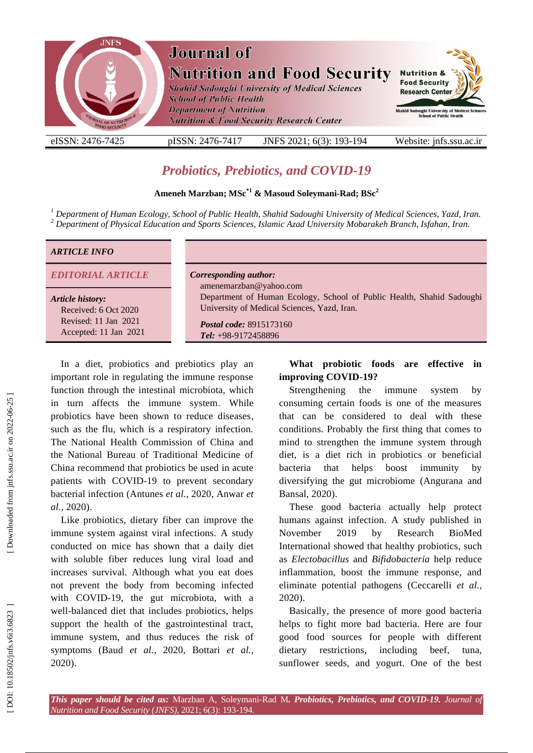

# *Probiotics, [Prebiotics,](https://www.nutraingredients.com/Article/2020/08/20/Prebiotic-probiotic-in-COVID-19-prevention-not-acute-role) and COVID -19*

# **Ameneh Marzban; MSc \* 1 & Masoud Soleymani -Rad ; BSc 2**

<sup>1</sup> Department of Human Ecology, School of Public Health, Shahid Sadoughi University of Medical Sciences, Yazd, Iran.<br><sup>2</sup> Department of Physical Education and Sports Sciences, Islamic Azad University Mobarakeh Branch, Isf

#### *ARTICLE INFO*

*EDITORIAL ARTICLE Corresponding author:*

#### *Article history:*

Received: 6 Oct 2020 Revised: 11 Jan 2021 Accepted: 11 Jan 2021

amenemarzban@yahoo.com Department of Human Ecology, School of Public Health, Shahid Sadoughi University of Medical Sciences, Yazd, Iran .

*Postal code:* 8915173160 *Tel:* +98 -9172458896

In a diet, probiotics and prebiotics play an important role in regulating the immune response function through the intestinal microbiota, which in turn affects the immune system . While probiotics have been shown to reduce diseases , such as the flu, which is a respiratory infection. The National Health Commission of China and the National Bureau of Traditional Medicine of China recommend that probiotics be used in acute patients with COVID -19 to prevent secondary bacterial infection (Antunes *et al.*, 2020, Anwar *et al.*, 2020) .

Like probiotics, dietary fiber can improve the immune system against viral infections. A study conducted on mice has shown that a daily diet with soluble fiber reduces lung viral load and increases survival. Although what you eat does not prevent the body from becoming infected with COVID -19, the gut microbiota, with a well -balanced diet that includes probiotics, helps support the health of the gastrointestinal tract, immune system, and thus reduce s the risk of symptoms (Baud *et al.*, 2020, Bottari *et al.*, 2020) .

# **What probiotic foods are effective in improving COVID -19 ?**

Strengthening the immune system by consuming certain foods is one of the measures that can be considered to deal with these conditions. Probably the first thing that comes to mind to strengthen the immune system through diet, is a diet rich in probiotics or beneficial bacteria that helps boost immunity by diversifying the gut microbiome (Angurana and Bansal, 2020) .

These good bacteria actually help protect humans against infection. A study published in November 2019 by Research BioMed International showed that healthy probiotics , such as *Electobacillus* and *Bifidobacteria* help reduce inflammation, boost the immune response, and eliminate potential pathogens (Ceccarelli *et al.*, 2020) .

Basically, the presence of more good bacteria helps to fight more bad bacteria. Here are four good food sources for people with different dietary restrictions, including beef, tuna, sunflower seeds, and yogurt. One of the best